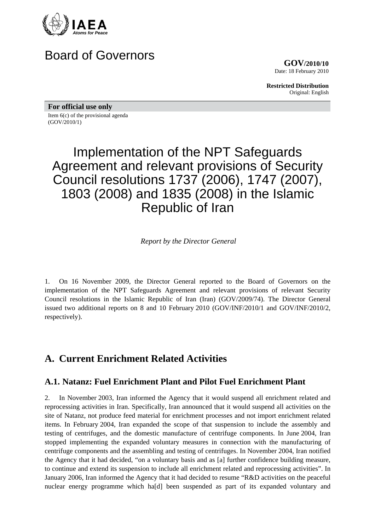

# Board of Governors

**GOV/2010/10** Date: 18 February 2010

**Restricted Distribution** Original: English

**For official use only** 

Item 6(c) of the provisional agenda (GOV/2010/1)

# Implementation of the NPT Safeguards Agreement and relevant provisions of Security Council resolutions 1737 (2006), 1747 (2007), 1803 (2008) and 1835 (2008) in the Islamic Republic of Iran

*Report by the Director General* 

1. On 16 November 2009, the Director General reported to the Board of Governors on the implementation of the NPT Safeguards Agreement and relevant provisions of relevant Security Council resolutions in the Islamic Republic of Iran (Iran) (GOV/2009/74). The Director General issued two additional reports on 8 and 10 February 2010 (GOV/INF/2010/1 and GOV/INF/2010/2, respectively).

# **A. Current Enrichment Related Activities**

### **A.1. Natanz: Fuel Enrichment Plant and Pilot Fuel Enrichment Plant**

2. In November 2003, Iran informed the Agency that it would suspend all enrichment related and reprocessing activities in Iran. Specifically, Iran announced that it would suspend all activities on the site of Natanz, not produce feed material for enrichment processes and not import enrichment related items. In February 2004, Iran expanded the scope of that suspension to include the assembly and testing of centrifuges, and the domestic manufacture of centrifuge components. In June 2004, Iran stopped implementing the expanded voluntary measures in connection with the manufacturing of centrifuge components and the assembling and testing of centrifuges. In November 2004, Iran notified the Agency that it had decided, "on a voluntary basis and as [a] further confidence building measure, to continue and extend its suspension to include all enrichment related and reprocessing activities". In January 2006, Iran informed the Agency that it had decided to resume "R&D activities on the peaceful nuclear energy programme which ha[d] been suspended as part of its expanded voluntary and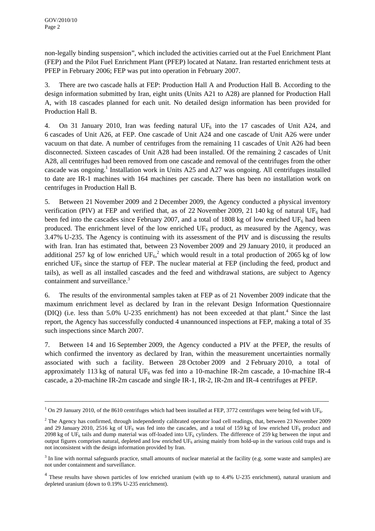non-legally binding suspension", which included the activities carried out at the Fuel Enrichment Plant (FEP) and the Pilot Fuel Enrichment Plant (PFEP) located at Natanz. Iran restarted enrichment tests at PFEP in February 2006; FEP was put into operation in February 2007.

3. There are two cascade halls at FEP: Production Hall A and Production Hall B. According to the design information submitted by Iran, eight units (Units A21 to A28) are planned for Production Hall A, with 18 cascades planned for each unit. No detailed design information has been provided for Production Hall B.

4. On 31 January 2010, Iran was feeding natural UF<sub>6</sub> into the 17 cascades of Unit A24, and 6 cascades of Unit A26, at FEP. One cascade of Unit A24 and one cascade of Unit A26 were under vacuum on that date. A number of centrifuges from the remaining 11 cascades of Unit A26 had been disconnected. Sixteen cascades of Unit A28 had been installed. Of the remaining 2 cascades of Unit A28, all centrifuges had been removed from one cascade and removal of the centrifuges from the other cascade was ongoing.<sup>1</sup> Installation work in Units A25 and A27 was ongoing. All centrifuges installed to date are IR-1 machines with 164 machines per cascade. There has been no installation work on centrifuges in Production Hall B.

5. Between 21 November 2009 and 2 December 2009, the Agency conducted a physical inventory verification (PIV) at FEP and verified that, as of 22 November 2009, 21 140 kg of natural UF<sub>6</sub> had been fed into the cascades since February 2007, and a total of 1808 kg of low enriched  $UF_6$  had been produced. The enrichment level of the low enriched  $UF_6$  product, as measured by the Agency, was 3.47% U-235. The Agency is continuing with its assessment of the PIV and is discussing the results with Iran. Iran has estimated that, between 23 November 2009 and 29 January 2010, it produced an additional 257 kg of low enriched  $UF_6$ <sup>2</sup> which would result in a total production of 2065 kg of low enriched  $UF_6$  since the startup of FEP. The nuclear material at FEP (including the feed, product and tails), as well as all installed cascades and the feed and withdrawal stations, are subject to Agency containment and surveillance.<sup>3</sup>

6. The results of the environmental samples taken at FEP as of 21 November 2009 indicate that the maximum enrichment level as declared by Iran in the relevant Design Information Questionnaire (DIQ) (i.e. less than  $5.0\%$  U-235 enrichment) has not been exceeded at that plant.<sup>4</sup> Since the last report, the Agency has successfully conducted 4 unannounced inspections at FEP, making a total of 35 such inspections since March 2007.

7. Between 14 and 16 September 2009, the Agency conducted a PIV at the PFEP, the results of which confirmed the inventory as declared by Iran, within the measurement uncertainties normally associated with such a facility. Between 28 October 2009 and 2 February 2010, a total of approximately 113 kg of natural UF<sub>6</sub> was fed into a 10-machine IR-2m cascade, a 10-machine IR-4 cascade, a 20-machine IR-2m cascade and single IR-1, IR-2, IR-2m and IR-4 centrifuges at PFEP.

<sup>&</sup>lt;sup>1</sup> On 29 January 2010, of the 8610 centrifuges which had been installed at FEP, 3772 centrifuges were being fed with UF<sub>6</sub>.

 $2$  The Agency has confirmed, through independently calibrated operator load cell readings, that, between 23 November 2009 and 29 January 2010, 2516 kg of UF<sub>6</sub> was fed into the cascades, and a total of 159 kg of low enriched UF<sub>6</sub> product and 2098 kg of UF<sub>6</sub> tails and dump material was off-loaded into UF<sub>6</sub> cylinders. The difference of 259 kg between the input and output figures comprises natural, depleted and low enriched  $UF_6$  arising mainly from hold-up in the various cold traps and is not inconsistent with the design information provided by Iran.

 $3$  In line with normal safeguards practice, small amounts of nuclear material at the facility (e.g. some waste and samples) are not under containment and surveillance.

 $4$  These results have shown particles of low enriched uranium (with up to 4.4% U-235 enrichment), natural uranium and depleted uranium (down to 0.19% U-235 enrichment).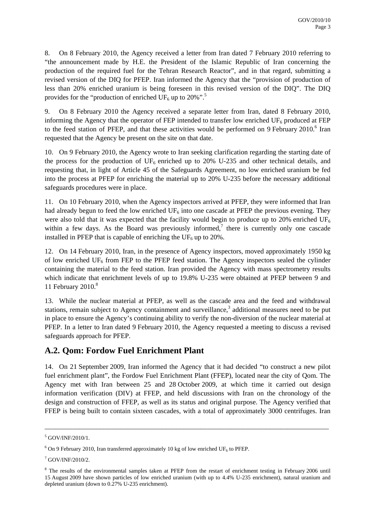8. On 8 February 2010, the Agency received a letter from Iran dated 7 February 2010 referring to "the announcement made by H.E. the President of the Islamic Republic of Iran concerning the production of the required fuel for the Tehran Research Reactor", and in that regard, submitting a revised version of the DIQ for PFEP. Iran informed the Agency that the "provision of production of less than 20% enriched uranium is being foreseen in this revised version of the DIQ". The DIQ provides for the "production of enriched UF<sub>6</sub> up to 20%".<sup>5</sup>

9. On 8 February 2010 the Agency received a separate letter from Iran, dated 8 February 2010, informing the Agency that the operator of FEP intended to transfer low enriched  $UF_6$  produced at FEP to the feed station of PFEP, and that these activities would be performed on 9 February  $2010$ .<sup>6</sup> Iran requested that the Agency be present on the site on that date.

10. On 9 February 2010, the Agency wrote to Iran seeking clarification regarding the starting date of the process for the production of  $UF_6$  enriched up to 20% U-235 and other technical details, and requesting that, in light of Article 45 of the Safeguards Agreement, no low enriched uranium be fed into the process at PFEP for enriching the material up to 20% U-235 before the necessary additional safeguards procedures were in place.

11. On 10 February 2010, when the Agency inspectors arrived at PFEP, they were informed that Iran had already begun to feed the low enriched  $UF_6$  into one cascade at PFEP the previous evening. They were also told that it was expected that the facility would begin to produce up to 20% enriched UF<sub>6</sub> within a few days. As the Board was previously informed,<sup>7</sup> there is currently only one cascade installed in PFEP that is capable of enriching the  $UF_6$  up to 20%.

12. On 14 February 2010, Iran, in the presence of Agency inspectors, moved approximately 1950 kg of low enriched  $UF_6$  from FEP to the PFEP feed station. The Agency inspectors sealed the cylinder containing the material to the feed station. Iran provided the Agency with mass spectrometry results which indicate that enrichment levels of up to 19.8% U-235 were obtained at PFEP between 9 and 11 February 2010.<sup>8</sup>

13. While the nuclear material at PFEP, as well as the cascade area and the feed and withdrawal stations, remain subject to Agency containment and surveillance, $3$  additional measures need to be put in place to ensure the Agency's continuing ability to verify the non-diversion of the nuclear material at PFEP. In a letter to Iran dated 9 February 2010, the Agency requested a meeting to discuss a revised safeguards approach for PFEP.

### **A.2. Qom: Fordow Fuel Enrichment Plant**

14. On 21 September 2009, Iran informed the Agency that it had decided "to construct a new pilot fuel enrichment plant", the Fordow Fuel Enrichment Plant (FFEP), located near the city of Qom. The Agency met with Iran between 25 and 28 October 2009, at which time it carried out design information verification (DIV) at FFEP, and held discussions with Iran on the chronology of the design and construction of FFEP, as well as its status and original purpose. The Agency verified that FFEP is being built to contain sixteen cascades, with a total of approximately 3000 centrifuges. Iran

<sup>5</sup> GOV/INF/2010/1.

 $6$  On 9 February 2010, Iran transferred approximately 10 kg of low enriched UF<sub>6</sub> to PFEP.

<sup>7</sup> GOV/INF/2010/2.

<sup>&</sup>lt;sup>8</sup> The results of the environmental samples taken at PFEP from the restart of enrichment testing in February 2006 until 15 August 2009 have shown particles of low enriched uranium (with up to 4.4% U-235 enrichment), natural uranium and depleted uranium (down to 0.27% U-235 enrichment).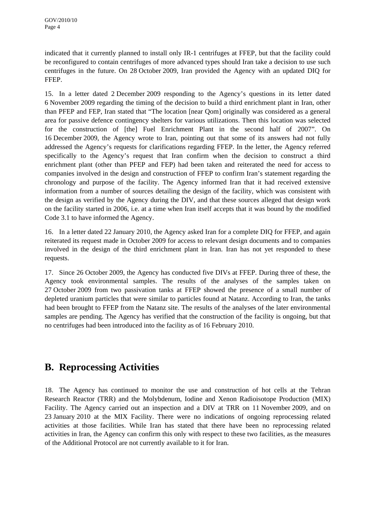indicated that it currently planned to install only IR-1 centrifuges at FFEP, but that the facility could be reconfigured to contain centrifuges of more advanced types should Iran take a decision to use such centrifuges in the future. On 28 October 2009, Iran provided the Agency with an updated DIQ for FFEP.

15. In a letter dated 2 December 2009 responding to the Agency's questions in its letter dated 6 November 2009 regarding the timing of the decision to build a third enrichment plant in Iran, other than PFEP and FEP, Iran stated that "The location [near Qom] originally was considered as a general area for passive defence contingency shelters for various utilizations. Then this location was selected for the construction of [the] Fuel Enrichment Plant in the second half of 2007". On 16 December 2009, the Agency wrote to Iran, pointing out that some of its answers had not fully addressed the Agency's requests for clarifications regarding FFEP. In the letter, the Agency referred specifically to the Agency's request that Iran confirm when the decision to construct a third enrichment plant (other than PFEP and FEP) had been taken and reiterated the need for access to companies involved in the design and construction of FFEP to confirm Iran's statement regarding the chronology and purpose of the facility. The Agency informed Iran that it had received extensive information from a number of sources detailing the design of the facility, which was consistent with the design as verified by the Agency during the DIV, and that these sources alleged that design work on the facility started in 2006, i.e. at a time when Iran itself accepts that it was bound by the modified Code 3.1 to have informed the Agency.

16. In a letter dated 22 January 2010, the Agency asked Iran for a complete DIQ for FFEP, and again reiterated its request made in October 2009 for access to relevant design documents and to companies involved in the design of the third enrichment plant in Iran. Iran has not yet responded to these requests.

17. Since 26 October 2009, the Agency has conducted five DIVs at FFEP. During three of these, the Agency took environmental samples. The results of the analyses of the samples taken on 27 October 2009 from two passivation tanks at FFEP showed the presence of a small number of depleted uranium particles that were similar to particles found at Natanz. According to Iran, the tanks had been brought to FFEP from the Natanz site. The results of the analyses of the later environmental samples are pending. The Agency has verified that the construction of the facility is ongoing, but that no centrifuges had been introduced into the facility as of 16 February 2010.

# **B. Reprocessing Activities**

18. The Agency has continued to monitor the use and construction of hot cells at the Tehran Research Reactor (TRR) and the Molybdenum, Iodine and Xenon Radioisotope Production (MIX) Facility. The Agency carried out an inspection and a DIV at TRR on 11 November 2009, and on 23 January 2010 at the MIX Facility. There were no indications of ongoing reprocessing related activities at those facilities. While Iran has stated that there have been no reprocessing related activities in Iran, the Agency can confirm this only with respect to these two facilities, as the measures of the Additional Protocol are not currently available to it for Iran.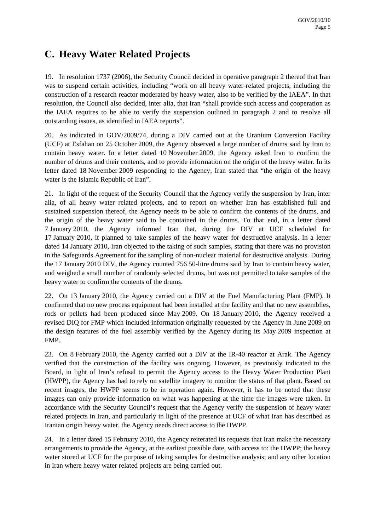# **C. Heavy Water Related Projects**

19. In resolution 1737 (2006), the Security Council decided in operative paragraph 2 thereof that Iran was to suspend certain activities, including "work on all heavy water-related projects, including the construction of a research reactor moderated by heavy water, also to be verified by the IAEA". In that resolution, the Council also decided, inter alia, that Iran "shall provide such access and cooperation as the IAEA requires to be able to verify the suspension outlined in paragraph 2 and to resolve all outstanding issues, as identified in IAEA reports".

20. As indicated in GOV/2009/74, during a DIV carried out at the Uranium Conversion Facility (UCF) at Esfahan on 25 October 2009, the Agency observed a large number of drums said by Iran to contain heavy water. In a letter dated 10 November 2009, the Agency asked Iran to confirm the number of drums and their contents, and to provide information on the origin of the heavy water. In its letter dated 18 November 2009 responding to the Agency, Iran stated that "the origin of the heavy water is the Islamic Republic of Iran".

21. In light of the request of the Security Council that the Agency verify the suspension by Iran, inter alia, of all heavy water related projects, and to report on whether Iran has established full and sustained suspension thereof, the Agency needs to be able to confirm the contents of the drums, and the origin of the heavy water said to be contained in the drums. To that end, in a letter dated 7 January 2010, the Agency informed Iran that, during the DIV at UCF scheduled for 17 January 2010, it planned to take samples of the heavy water for destructive analysis. In a letter dated 14 January 2010, Iran objected to the taking of such samples, stating that there was no provision in the Safeguards Agreement for the sampling of non-nuclear material for destructive analysis. During the 17 January 2010 DIV, the Agency counted 756 50-litre drums said by Iran to contain heavy water, and weighed a small number of randomly selected drums, but was not permitted to take samples of the heavy water to confirm the contents of the drums.

22. On 13 January 2010, the Agency carried out a DIV at the Fuel Manufacturing Plant (FMP). It confirmed that no new process equipment had been installed at the facility and that no new assemblies, rods or pellets had been produced since May 2009. On 18 January 2010, the Agency received a revised DIQ for FMP which included information originally requested by the Agency in June 2009 on the design features of the fuel assembly verified by the Agency during its May 2009 inspection at FMP.

23. On 8 February 2010, the Agency carried out a DIV at the IR-40 reactor at Arak. The Agency verified that the construction of the facility was ongoing. However, as previously indicated to the Board, in light of Iran's refusal to permit the Agency access to the Heavy Water Production Plant (HWPP), the Agency has had to rely on satellite imagery to monitor the status of that plant. Based on recent images, the HWPP seems to be in operation again. However, it has to be noted that these images can only provide information on what was happening at the time the images were taken. In accordance with the Security Council's request that the Agency verify the suspension of heavy water related projects in Iran, and particularly in light of the presence at UCF of what Iran has described as Iranian origin heavy water, the Agency needs direct access to the HWPP.

24. In a letter dated 15 February 2010, the Agency reiterated its requests that Iran make the necessary arrangements to provide the Agency, at the earliest possible date, with access to: the HWPP; the heavy water stored at UCF for the purpose of taking samples for destructive analysis; and any other location in Iran where heavy water related projects are being carried out.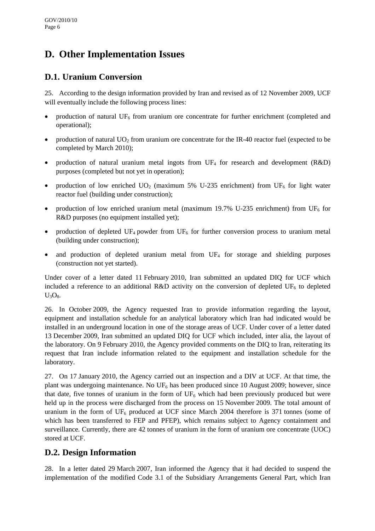# **D. Other Implementation Issues**

### **D.1. Uranium Conversion**

25. According to the design information provided by Iran and revised as of 12 November 2009, UCF will eventually include the following process lines:

- production of natural  $UF_6$  from uranium ore concentrate for further enrichment (completed and operational);
- production of natural  $UO<sub>2</sub>$  from uranium ore concentrate for the IR-40 reactor fuel (expected to be completed by March 2010);
- production of natural uranium metal ingots from  $UF_4$  for research and development (R&D) purposes (completed but not yet in operation);
- production of low enriched  $UO<sub>2</sub>$  (maximum 5% U-235 enrichment) from UF<sub>6</sub> for light water reactor fuel (building under construction);
- production of low enriched uranium metal (maximum 19.7% U-235 enrichment) from UF<sub>6</sub> for R&D purposes (no equipment installed yet);
- production of depleted UF<sub>4</sub> powder from UF<sub>6</sub> for further conversion process to uranium metal (building under construction);
- and production of depleted uranium metal from  $UF_4$  for storage and shielding purposes (construction not yet started).

Under cover of a letter dated 11 February 2010, Iran submitted an updated DIQ for UCF which included a reference to an additional R&D activity on the conversion of depleted  $UF<sub>6</sub>$  to depleted  $U_3O_8$ .

26. In October 2009, the Agency requested Iran to provide information regarding the layout, equipment and installation schedule for an analytical laboratory which Iran had indicated would be installed in an underground location in one of the storage areas of UCF. Under cover of a letter dated 13 December 2009, Iran submitted an updated DIQ for UCF which included, inter alia, the layout of the laboratory. On 9 February 2010, the Agency provided comments on the DIQ to Iran, reiterating its request that Iran include information related to the equipment and installation schedule for the laboratory.

27. On 17 January 2010, the Agency carried out an inspection and a DIV at UCF. At that time, the plant was undergoing maintenance. No  $UF_6$  has been produced since 10 August 2009; however, since that date, five tonnes of uranium in the form of  $UF<sub>6</sub>$  which had been previously produced but were held up in the process were discharged from the process on 15 November 2009. The total amount of uranium in the form of  $UF_6$  produced at UCF since March 2004 therefore is 371 tonnes (some of which has been transferred to FEP and PFEP), which remains subject to Agency containment and surveillance. Currently, there are 42 tonnes of uranium in the form of uranium ore concentrate (UOC) stored at UCF.

### **D.2. Design Information**

28. In a letter dated 29 March 2007, Iran informed the Agency that it had decided to suspend the implementation of the modified Code 3.1 of the Subsidiary Arrangements General Part, which Iran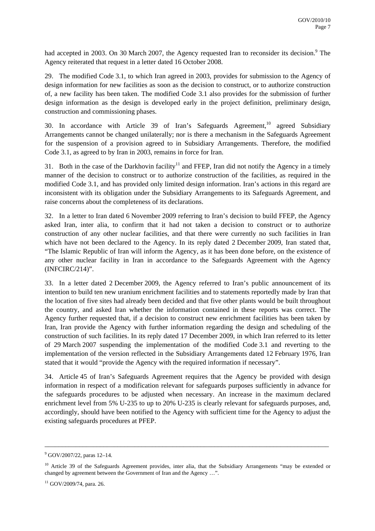had accepted in 2003. On 30 March 2007, the Agency requested Iran to reconsider its decision.<sup>9</sup> The Agency reiterated that request in a letter dated 16 October 2008.

29. The modified Code 3.1, to which Iran agreed in 2003, provides for submission to the Agency of design information for new facilities as soon as the decision to construct, or to authorize construction of, a new facility has been taken. The modified Code 3.1 also provides for the submission of further design information as the design is developed early in the project definition, preliminary design, construction and commissioning phases.

30. In accordance with Article 39 of Iran's Safeguards Agreement,  $10^{\circ}$  agreed Subsidiary Arrangements cannot be changed unilaterally; nor is there a mechanism in the Safeguards Agreement for the suspension of a provision agreed to in Subsidiary Arrangements. Therefore, the modified Code 3.1, as agreed to by Iran in 2003, remains in force for Iran.

31. Both in the case of the Darkhovin facility<sup>11</sup> and FFEP, Iran did not notify the Agency in a timely manner of the decision to construct or to authorize construction of the facilities, as required in the modified Code 3.1, and has provided only limited design information. Iran's actions in this regard are inconsistent with its obligation under the Subsidiary Arrangements to its Safeguards Agreement, and raise concerns about the completeness of its declarations.

32. In a letter to Iran dated 6 November 2009 referring to Iran's decision to build FFEP, the Agency asked Iran, inter alia, to confirm that it had not taken a decision to construct or to authorize construction of any other nuclear facilities, and that there were currently no such facilities in Iran which have not been declared to the Agency. In its reply dated 2 December 2009, Iran stated that, "The Islamic Republic of Iran will inform the Agency, as it has been done before, on the existence of any other nuclear facility in Iran in accordance to the Safeguards Agreement with the Agency (INFCIRC/214)".

33. In a letter dated 2 December 2009, the Agency referred to Iran's public announcement of its intention to build ten new uranium enrichment facilities and to statements reportedly made by Iran that the location of five sites had already been decided and that five other plants would be built throughout the country, and asked Iran whether the information contained in these reports was correct. The Agency further requested that, if a decision to construct new enrichment facilities has been taken by Iran, Iran provide the Agency with further information regarding the design and scheduling of the construction of such facilities. In its reply dated 17 December 2009, in which Iran referred to its letter of 29 March 2007 suspending the implementation of the modified Code 3.1 and reverting to the implementation of the version reflected in the Subsidiary Arrangements dated 12 February 1976, Iran stated that it would "provide the Agency with the required information if necessary".

34. Article 45 of Iran's Safeguards Agreement requires that the Agency be provided with design information in respect of a modification relevant for safeguards purposes sufficiently in advance for the safeguards procedures to be adjusted when necessary. An increase in the maximum declared enrichment level from 5% U-235 to up to 20% U-235 is clearly relevant for safeguards purposes, and, accordingly, should have been notified to the Agency with sufficient time for the Agency to adjust the existing safeguards procedures at PFEP.

<sup>9</sup> GOV/2007/22, paras 12–14.

<sup>&</sup>lt;sup>10</sup> Article 39 of the Safeguards Agreement provides, inter alia, that the Subsidiary Arrangements "may be extended or changed by agreement between the Government of Iran and the Agency …".

<sup>&</sup>lt;sup>11</sup> GOV/2009/74, para. 26.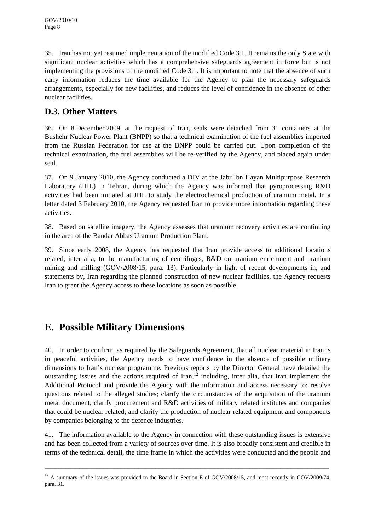35. Iran has not yet resumed implementation of the modified Code 3.1. It remains the only State with significant nuclear activities which has a comprehensive safeguards agreement in force but is not implementing the provisions of the modified Code 3.1. It is important to note that the absence of such early information reduces the time available for the Agency to plan the necessary safeguards arrangements, especially for new facilities, and reduces the level of confidence in the absence of other nuclear facilities.

### **D.3. Other Matters**

36. On 8 December 2009, at the request of Iran, seals were detached from 31 containers at the Bushehr Nuclear Power Plant (BNPP) so that a technical examination of the fuel assemblies imported from the Russian Federation for use at the BNPP could be carried out. Upon completion of the technical examination, the fuel assemblies will be re-verified by the Agency, and placed again under seal.

37. On 9 January 2010, the Agency conducted a DIV at the Jabr Ibn Hayan Multipurpose Research Laboratory (JHL) in Tehran, during which the Agency was informed that pyroprocessing R&D activities had been initiated at JHL to study the electrochemical production of uranium metal. In a letter dated 3 February 2010, the Agency requested Iran to provide more information regarding these activities.

38. Based on satellite imagery, the Agency assesses that uranium recovery activities are continuing in the area of the Bandar Abbas Uranium Production Plant.

39. Since early 2008, the Agency has requested that Iran provide access to additional locations related, inter alia, to the manufacturing of centrifuges, R&D on uranium enrichment and uranium mining and milling (GOV/2008/15, para. 13). Particularly in light of recent developments in, and statements by, Iran regarding the planned construction of new nuclear facilities, the Agency requests Iran to grant the Agency access to these locations as soon as possible.

# **E. Possible Military Dimensions**

40. In order to confirm, as required by the Safeguards Agreement, that all nuclear material in Iran is in peaceful activities, the Agency needs to have confidence in the absence of possible military dimensions to Iran's nuclear programme. Previous reports by the Director General have detailed the outstanding issues and the actions required of Iran,  $\frac{1}{2}$  including, inter alia, that Iran implement the Additional Protocol and provide the Agency with the information and access necessary to: resolve questions related to the alleged studies; clarify the circumstances of the acquisition of the uranium metal document; clarify procurement and R&D activities of military related institutes and companies that could be nuclear related; and clarify the production of nuclear related equipment and components by companies belonging to the defence industries.

41. The information available to the Agency in connection with these outstanding issues is extensive and has been collected from a variety of sources over time. It is also broadly consistent and credible in terms of the technical detail, the time frame in which the activities were conducted and the people and

<sup>&</sup>lt;sup>12</sup> A summary of the issues was provided to the Board in Section E of GOV/2008/15, and most recently in GOV/2009/74, para. 31.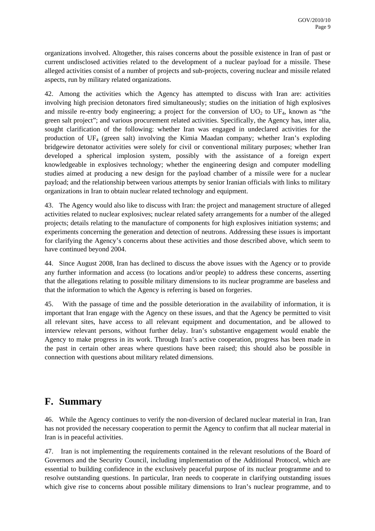organizations involved. Altogether, this raises concerns about the possible existence in Iran of past or current undisclosed activities related to the development of a nuclear payload for a missile. These alleged activities consist of a number of projects and sub-projects, covering nuclear and missile related aspects, run by military related organizations.

42. Among the activities which the Agency has attempted to discuss with Iran are: activities involving high precision detonators fired simultaneously; studies on the initiation of high explosives and missile re-entry body engineering; a project for the conversion of  $UO<sub>2</sub>$  to  $UF<sub>4</sub>$ , known as "the green salt project"; and various procurement related activities. Specifically, the Agency has, inter alia, sought clarification of the following: whether Iran was engaged in undeclared activities for the production of UF4 (green salt) involving the Kimia Maadan company; whether Iran's exploding bridgewire detonator activities were solely for civil or conventional military purposes; whether Iran developed a spherical implosion system, possibly with the assistance of a foreign expert knowledgeable in explosives technology; whether the engineering design and computer modelling studies aimed at producing a new design for the payload chamber of a missile were for a nuclear payload; and the relationship between various attempts by senior Iranian officials with links to military organizations in Iran to obtain nuclear related technology and equipment.

43. The Agency would also like to discuss with Iran: the project and management structure of alleged activities related to nuclear explosives; nuclear related safety arrangements for a number of the alleged projects; details relating to the manufacture of components for high explosives initiation systems; and experiments concerning the generation and detection of neutrons. Addressing these issues is important for clarifying the Agency's concerns about these activities and those described above, which seem to have continued beyond 2004.

44. Since August 2008, Iran has declined to discuss the above issues with the Agency or to provide any further information and access (to locations and/or people) to address these concerns, asserting that the allegations relating to possible military dimensions to its nuclear programme are baseless and that the information to which the Agency is referring is based on forgeries.

45. With the passage of time and the possible deterioration in the availability of information, it is important that Iran engage with the Agency on these issues, and that the Agency be permitted to visit all relevant sites, have access to all relevant equipment and documentation, and be allowed to interview relevant persons, without further delay. Iran's substantive engagement would enable the Agency to make progress in its work. Through Iran's active cooperation, progress has been made in the past in certain other areas where questions have been raised; this should also be possible in connection with questions about military related dimensions.

# **F. Summary**

46. While the Agency continues to verify the non-diversion of declared nuclear material in Iran, Iran has not provided the necessary cooperation to permit the Agency to confirm that all nuclear material in Iran is in peaceful activities.

47. Iran is not implementing the requirements contained in the relevant resolutions of the Board of Governors and the Security Council, including implementation of the Additional Protocol, which are essential to building confidence in the exclusively peaceful purpose of its nuclear programme and to resolve outstanding questions. In particular, Iran needs to cooperate in clarifying outstanding issues which give rise to concerns about possible military dimensions to Iran's nuclear programme, and to